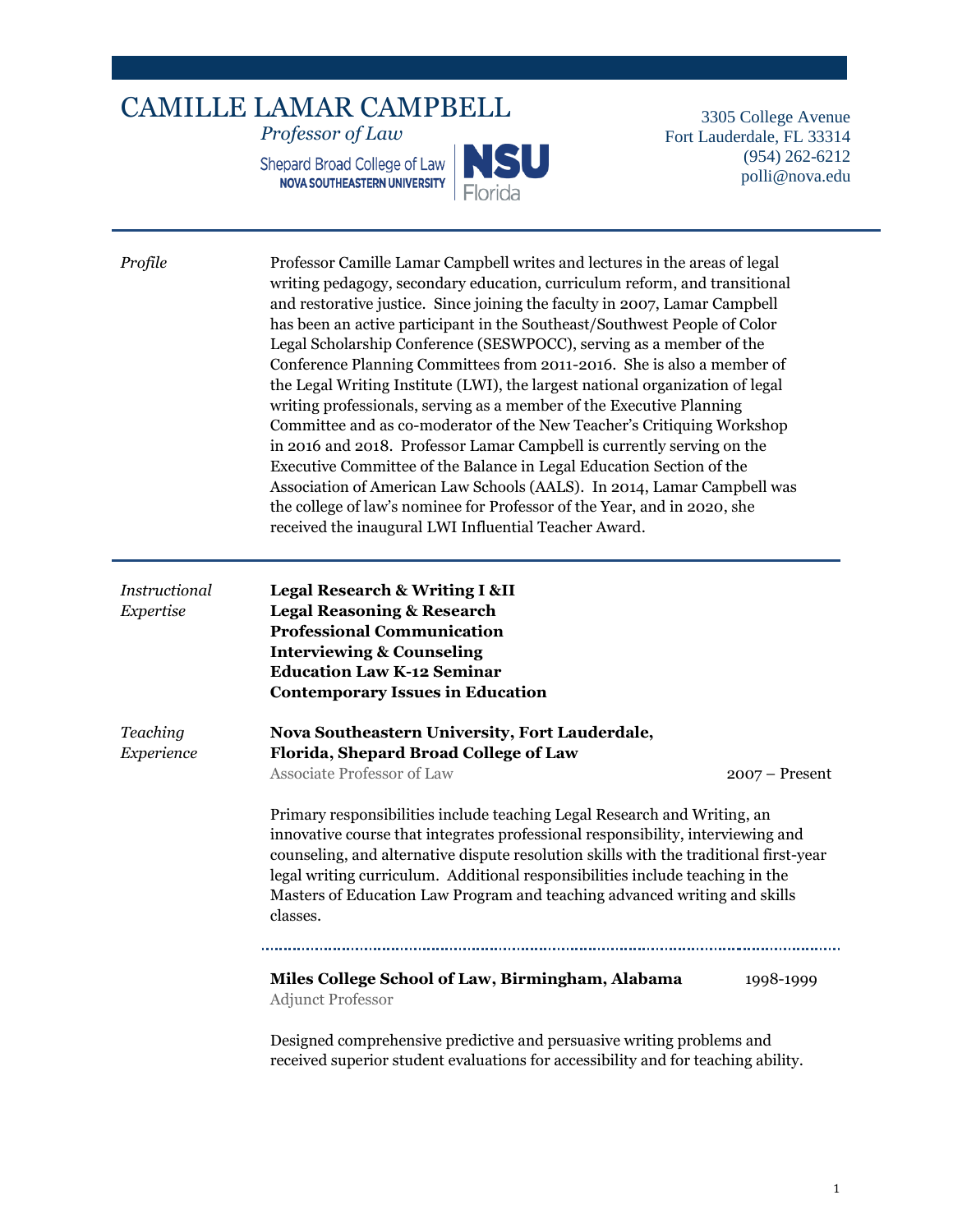## CAMILLE LAMAR CAMPBELL *Professor of Law*

Shepard Broad College of Law<br>
NOVA SOUTHEASTERN UNIVERSITY



3305 College Avenue Fort Lauderdale, FL 33314 (954) 262-6212 polli@nova.edu

| Profile                    | Professor Camille Lamar Campbell writes and lectures in the areas of legal<br>writing pedagogy, secondary education, curriculum reform, and transitional<br>and restorative justice. Since joining the faculty in 2007, Lamar Campbell<br>has been an active participant in the Southeast/Southwest People of Color<br>Legal Scholarship Conference (SESWPOCC), serving as a member of the<br>Conference Planning Committees from 2011-2016. She is also a member of<br>the Legal Writing Institute (LWI), the largest national organization of legal<br>writing professionals, serving as a member of the Executive Planning<br>Committee and as co-moderator of the New Teacher's Critiquing Workshop<br>in 2016 and 2018. Professor Lamar Campbell is currently serving on the<br>Executive Committee of the Balance in Legal Education Section of the<br>Association of American Law Schools (AALS). In 2014, Lamar Campbell was<br>the college of law's nominee for Professor of the Year, and in 2020, she<br>received the inaugural LWI Influential Teacher Award. |                  |  |
|----------------------------|---------------------------------------------------------------------------------------------------------------------------------------------------------------------------------------------------------------------------------------------------------------------------------------------------------------------------------------------------------------------------------------------------------------------------------------------------------------------------------------------------------------------------------------------------------------------------------------------------------------------------------------------------------------------------------------------------------------------------------------------------------------------------------------------------------------------------------------------------------------------------------------------------------------------------------------------------------------------------------------------------------------------------------------------------------------------------|------------------|--|
| Instructional<br>Expertise | <b>Legal Research &amp; Writing I &amp;II</b><br><b>Legal Reasoning &amp; Research</b><br><b>Professional Communication</b><br><b>Interviewing &amp; Counseling</b><br><b>Education Law K-12 Seminar</b><br><b>Contemporary Issues in Education</b>                                                                                                                                                                                                                                                                                                                                                                                                                                                                                                                                                                                                                                                                                                                                                                                                                       |                  |  |
| Teaching<br>Experience     | Nova Southeastern University, Fort Lauderdale,<br>Florida, Shepard Broad College of Law                                                                                                                                                                                                                                                                                                                                                                                                                                                                                                                                                                                                                                                                                                                                                                                                                                                                                                                                                                                   |                  |  |
|                            | Associate Professor of Law                                                                                                                                                                                                                                                                                                                                                                                                                                                                                                                                                                                                                                                                                                                                                                                                                                                                                                                                                                                                                                                | $2007 -$ Present |  |
|                            | Primary responsibilities include teaching Legal Research and Writing, an<br>innovative course that integrates professional responsibility, interviewing and<br>counseling, and alternative dispute resolution skills with the traditional first-year<br>legal writing curriculum. Additional responsibilities include teaching in the<br>Masters of Education Law Program and teaching advanced writing and skills<br>classes.                                                                                                                                                                                                                                                                                                                                                                                                                                                                                                                                                                                                                                            |                  |  |
|                            |                                                                                                                                                                                                                                                                                                                                                                                                                                                                                                                                                                                                                                                                                                                                                                                                                                                                                                                                                                                                                                                                           |                  |  |
|                            | Miles College School of Law, Birmingham, Alabama<br><b>Adjunct Professor</b>                                                                                                                                                                                                                                                                                                                                                                                                                                                                                                                                                                                                                                                                                                                                                                                                                                                                                                                                                                                              | 1998-1999        |  |
|                            | Designed comprehensive predictive and persuasive writing problems and                                                                                                                                                                                                                                                                                                                                                                                                                                                                                                                                                                                                                                                                                                                                                                                                                                                                                                                                                                                                     |                  |  |

received superior student evaluations for accessibility and for teaching ability.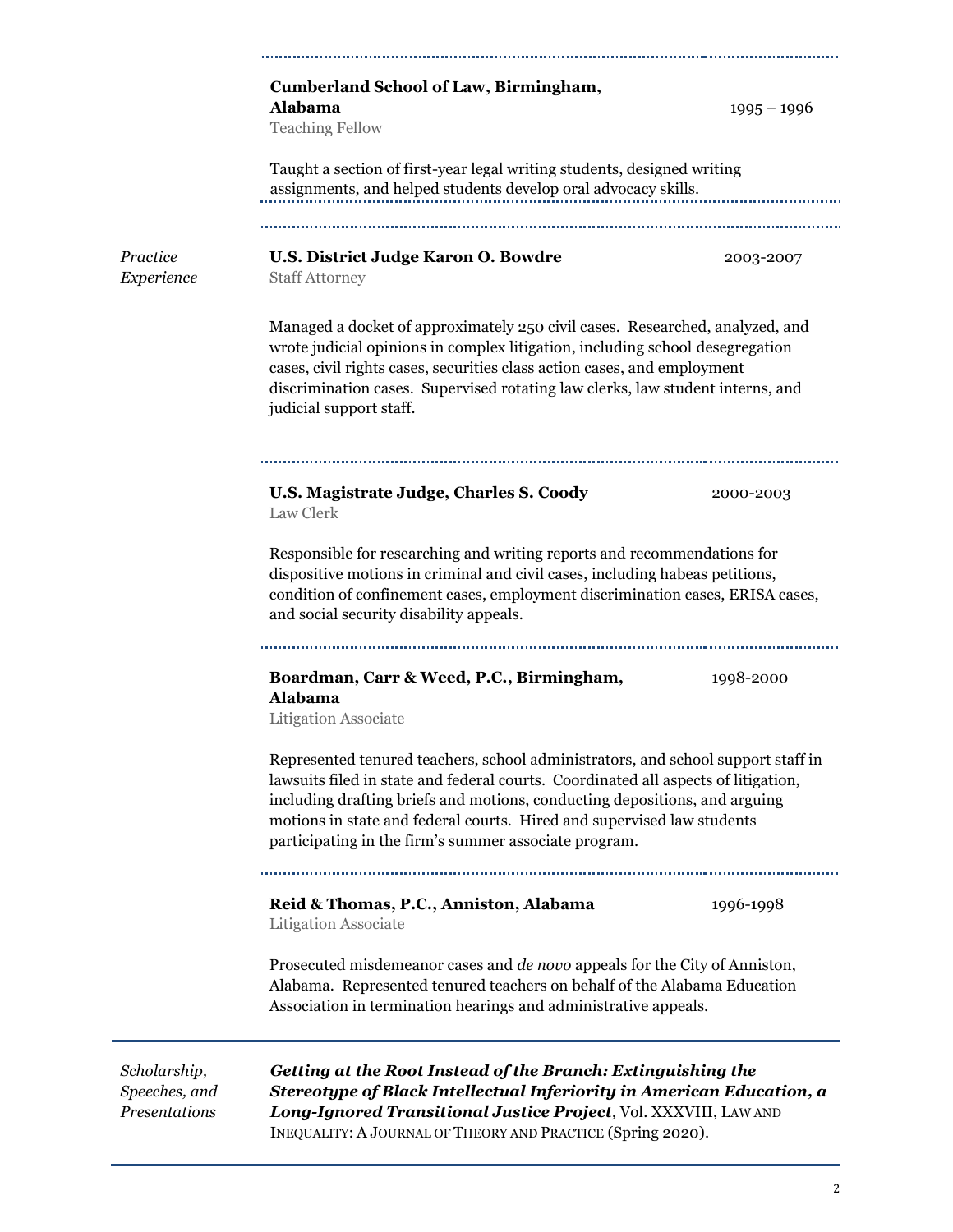|                                                | <b>Cumberland School of Law, Birmingham,</b><br><b>Alabama</b><br>$1995 - 1996$<br><b>Teaching Fellow</b>                                                                                                                                                                                                                                                                               |  |  |
|------------------------------------------------|-----------------------------------------------------------------------------------------------------------------------------------------------------------------------------------------------------------------------------------------------------------------------------------------------------------------------------------------------------------------------------------------|--|--|
|                                                | Taught a section of first-year legal writing students, designed writing<br>assignments, and helped students develop oral advocacy skills.                                                                                                                                                                                                                                               |  |  |
| Practice<br>Experience                         | U.S. District Judge Karon O. Bowdre<br>2003-2007<br><b>Staff Attorney</b>                                                                                                                                                                                                                                                                                                               |  |  |
|                                                | Managed a docket of approximately 250 civil cases. Researched, analyzed, and<br>wrote judicial opinions in complex litigation, including school desegregation<br>cases, civil rights cases, securities class action cases, and employment<br>discrimination cases. Supervised rotating law clerks, law student interns, and<br>judicial support staff.                                  |  |  |
|                                                | U.S. Magistrate Judge, Charles S. Coody<br>2000-2003<br>Law Clerk                                                                                                                                                                                                                                                                                                                       |  |  |
|                                                | Responsible for researching and writing reports and recommendations for<br>dispositive motions in criminal and civil cases, including habeas petitions,<br>condition of confinement cases, employment discrimination cases, ERISA cases,<br>and social security disability appeals.                                                                                                     |  |  |
|                                                | <br>Boardman, Carr & Weed, P.C., Birmingham,<br>1998-2000<br>Alabama<br><b>Litigation Associate</b>                                                                                                                                                                                                                                                                                     |  |  |
|                                                | Represented tenured teachers, school administrators, and school support staff in<br>lawsuits filed in state and federal courts. Coordinated all aspects of litigation,<br>including drafting briefs and motions, conducting depositions, and arguing<br>motions in state and federal courts. Hired and supervised law students<br>participating in the firm's summer associate program. |  |  |
|                                                | Reid & Thomas, P.C., Anniston, Alabama<br>1996-1998<br><b>Litigation Associate</b>                                                                                                                                                                                                                                                                                                      |  |  |
|                                                | Prosecuted misdemeanor cases and <i>de novo</i> appeals for the City of Anniston,<br>Alabama. Represented tenured teachers on behalf of the Alabama Education<br>Association in termination hearings and administrative appeals.                                                                                                                                                        |  |  |
| Scholarship,<br>Speeches, and<br>Presentations | Getting at the Root Instead of the Branch: Extinguishing the<br>Stereotype of Black Intellectual Inferiority in American Education, a<br>Long-Ignored Transitional Justice Project, Vol. XXXVIII, LAW AND                                                                                                                                                                               |  |  |

INEQUALITY: A JOURNAL OF THEORY AND PRACTICE (Spring 2020).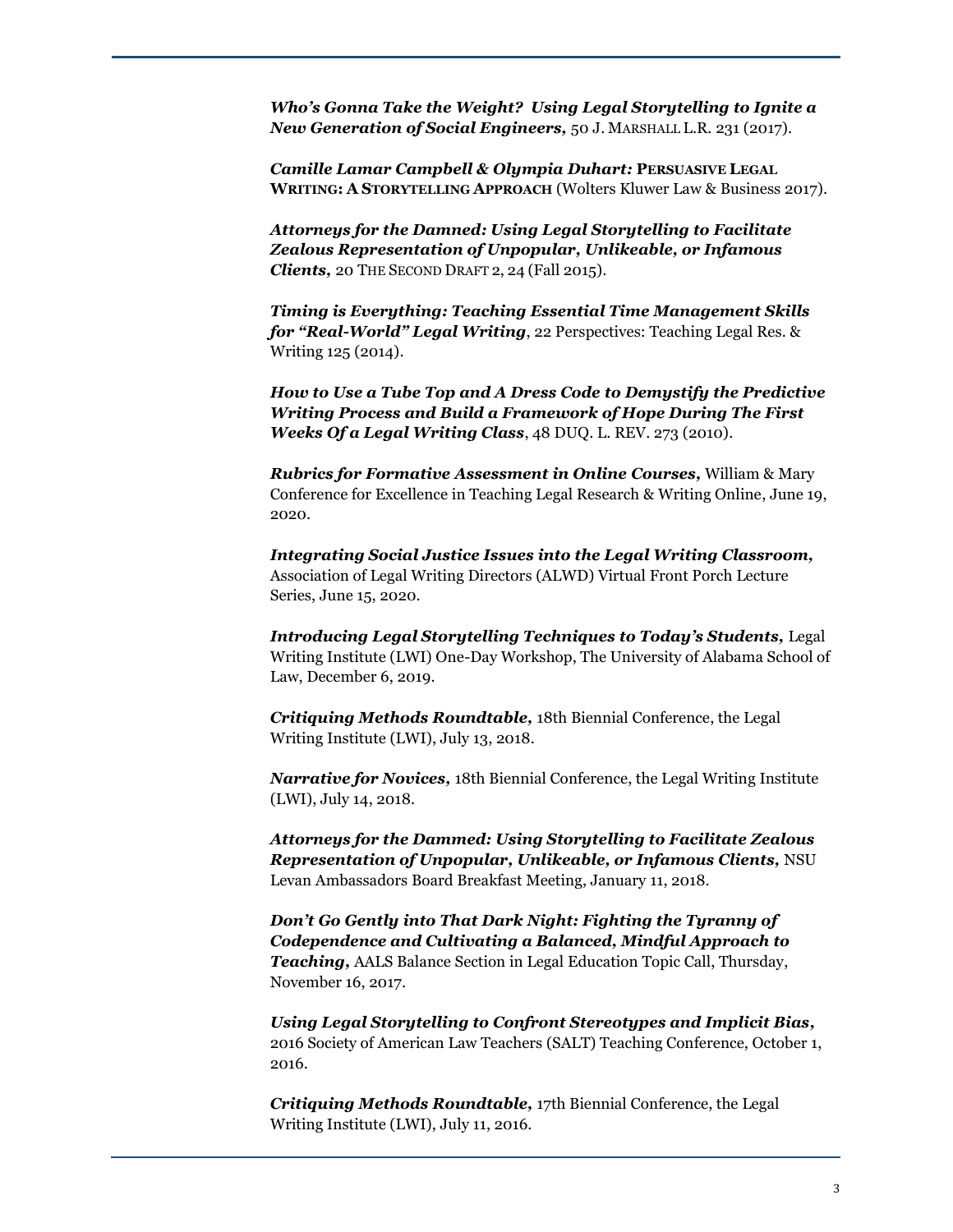*Who's Gonna Take the Weight? Using Legal Storytelling to Ignite a New Generation of Social Engineers,* 50 J. MARSHALL L.R*.* 231 (2017).

*Camille Lamar Campbell & Olympia Duhart:* **PERSUASIVE LEGAL WRITING: A STORYTELLING APPROACH** (Wolters Kluwer Law & Business 2017).

*Attorneys for the Damned: Using Legal Storytelling to Facilitate Zealous Representation of Unpopular, Unlikeable, or Infamous Clients,* 20 THE SECOND DRAFT 2, 24 (Fall 2015)*.*

*Timing is Everything: Teaching Essential Time Management Skills for "Real-World" Legal Writing*, 22 Perspectives: Teaching Legal Res. & Writing 125 (2014).

*How to Use a Tube Top and A Dress Code to Demystify the Predictive Writing Process and Build a Framework of Hope During The First Weeks Of a Legal Writing Class*, 48 DUQ. L. REV. 273 (2010).

*Rubrics for Formative Assessment in Online Courses,* William & Mary Conference for Excellence in Teaching Legal Research & Writing Online, June 19, 2020.

*Integrating Social Justice Issues into the Legal Writing Classroom,*  Association of Legal Writing Directors (ALWD) Virtual Front Porch Lecture Series, June 15, 2020.

*Introducing Legal Storytelling Techniques to Today's Students,* Legal Writing Institute (LWI) One-Day Workshop, The University of Alabama School of Law, December 6, 2019.

*Critiquing Methods Roundtable,* 18th Biennial Conference, the Legal Writing Institute (LWI), July 13, 2018.

*Narrative for Novices,* 18th Biennial Conference, the Legal Writing Institute (LWI), July 14, 2018.

*Attorneys for the Dammed: Using Storytelling to Facilitate Zealous Representation of Unpopular, Unlikeable, or Infamous Clients,* NSU Levan Ambassadors Board Breakfast Meeting, January 11, 2018.

*Don't Go Gently into That Dark Night: Fighting the Tyranny of Codependence and Cultivating a Balanced, Mindful Approach to Teaching,* AALS Balance Section in Legal Education Topic Call, Thursday, November 16, 2017.

*Using Legal Storytelling to Confront Stereotypes and Implicit Bias,* 2016 Society of American Law Teachers (SALT) Teaching Conference, October 1, 2016.

*Critiquing Methods Roundtable,* 17th Biennial Conference, the Legal Writing Institute (LWI), July 11, 2016.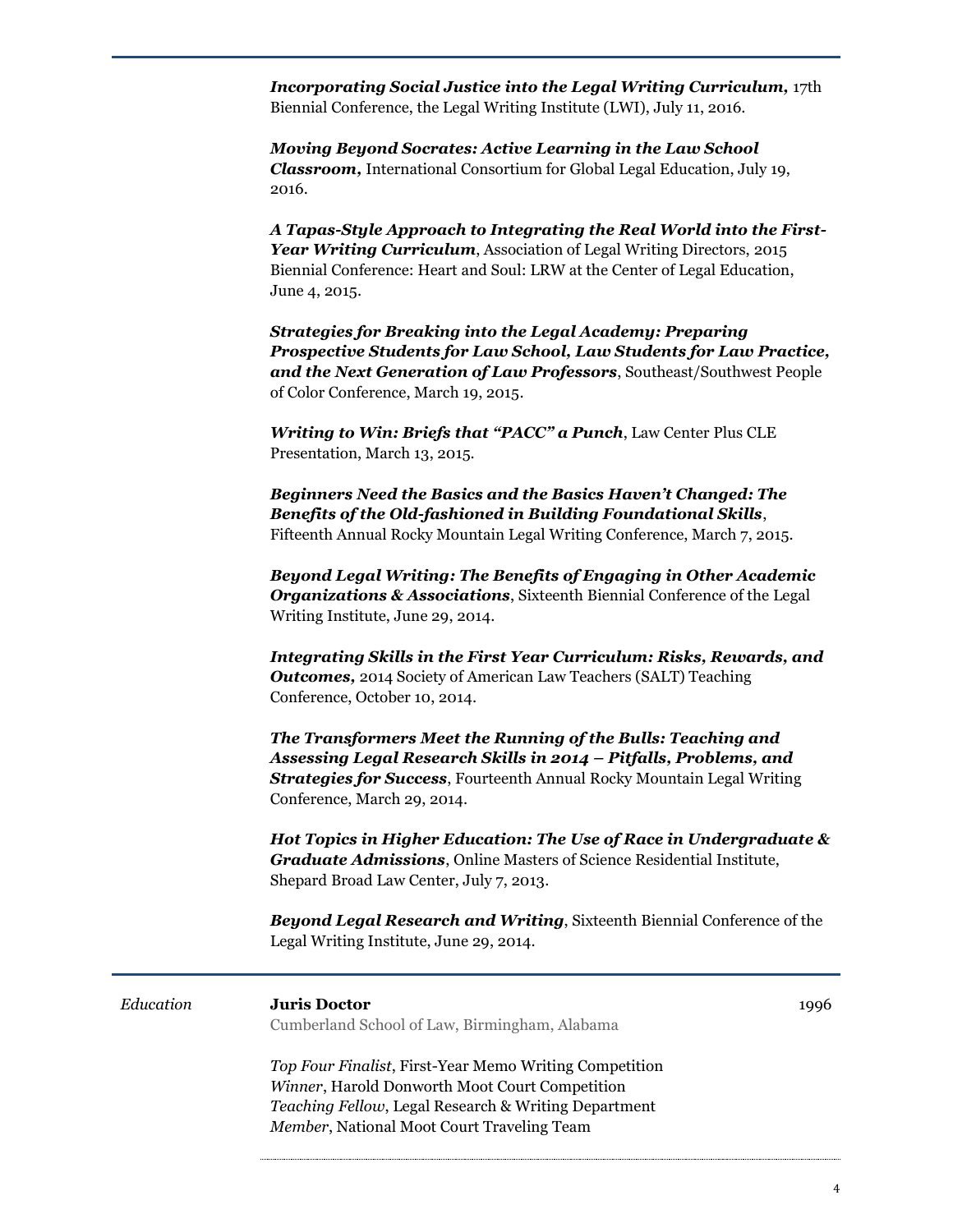*Incorporating Social Justice into the Legal Writing Curriculum, 17th* Biennial Conference, the Legal Writing Institute (LWI), July 11, 2016.

*Moving Beyond Socrates: Active Learning in the Law School Classroom,* International Consortium for Global Legal Education, July 19, 2016.

*A Tapas-Style Approach to Integrating the Real World into the First-Year Writing Curriculum*, Association of Legal Writing Directors, 2015 Biennial Conference: Heart and Soul: LRW at the Center of Legal Education, June 4, 2015.

*Strategies for Breaking into the Legal Academy: Preparing Prospective Students for Law School, Law Students for Law Practice, and the Next Generation of Law Professors*, Southeast/Southwest People of Color Conference, March 19, 2015.

*Writing to Win: Briefs that "PACC" a Punch*, Law Center Plus CLE Presentation, March 13, 2015.

*Beginners Need the Basics and the Basics Haven't Changed: The Benefits of the Old-fashioned in Building Foundational Skills*, Fifteenth Annual Rocky Mountain Legal Writing Conference, March 7, 2015.

*Beyond Legal Writing: The Benefits of Engaging in Other Academic Organizations & Associations*, Sixteenth Biennial Conference of the Legal Writing Institute, June 29, 2014.

*Integrating Skills in the First Year Curriculum: Risks, Rewards, and Outcomes,* 2014 Society of American Law Teachers (SALT) Teaching Conference, October 10, 2014.

*The Transformers Meet the Running of the Bulls: Teaching and Assessing Legal Research Skills in 2014 – Pitfalls, Problems, and Strategies for Success*, Fourteenth Annual Rocky Mountain Legal Writing Conference, March 29, 2014.

*Hot Topics in Higher Education: The Use of Race in Undergraduate & Graduate Admissions*, Online Masters of Science Residential Institute, Shepard Broad Law Center, July 7, 2013.

*Beyond Legal Research and Writing*, Sixteenth Biennial Conference of the Legal Writing Institute, June 29, 2014.

| Education | <b>Juris Doctor</b><br>Cumberland School of Law, Birmingham, Alabama                                                                                                                                           | 1996 |
|-----------|----------------------------------------------------------------------------------------------------------------------------------------------------------------------------------------------------------------|------|
|           | Top Four Finalist, First-Year Memo Writing Competition<br>Winner, Harold Donworth Moot Court Competition<br>Teaching Fellow, Legal Research & Writing Department<br>Member, National Moot Court Traveling Team |      |